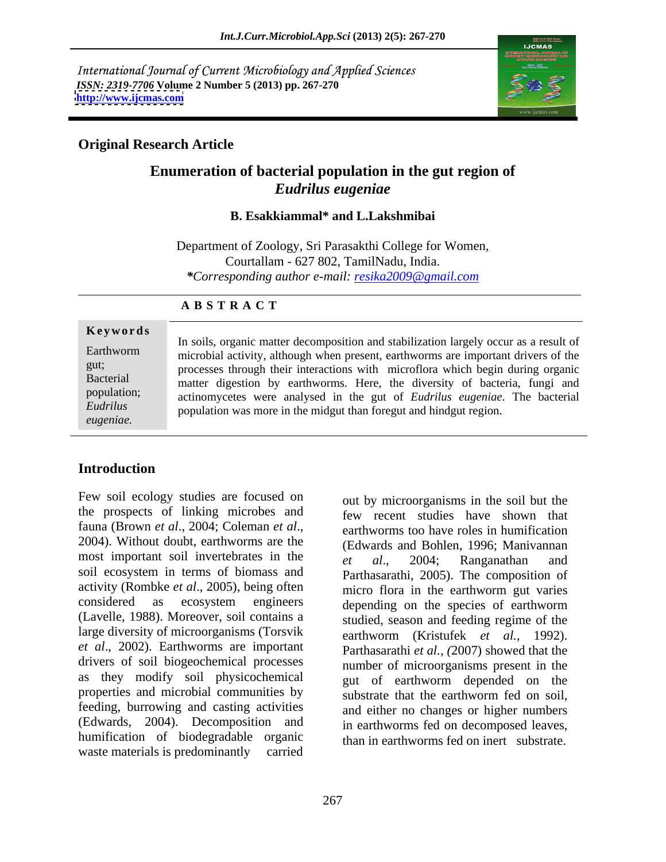International Journal of Current Microbiology and Applied Sciences *ISSN: 2319-7706* **Volume 2 Number 5 (2013) pp. 267-270 <http://www.ijcmas.com>**



## **Original Research Article**

# **Enumeration of bacterial population in the gut region of** *Eudrilus eugeniae*

### **B. Esakkiammal\* and L.Lakshmibai**

Department of Zoology, Sri Parasakthi College for Women, Courtallam - 627 802, TamilNadu, India. *\*Corresponding author e-mail: resika2009@gmail.com*

### **A B S T R A C T**

**Ke ywo rds** Earthworm microbial activity, although when present, earthworms are important drivers of the gut;<br>processes through their interactions with microflora which begin during organic Bacterial matter digestion by earthworms. Here, the diversity of bacteria, fungi and population; actinomycetes were analysed in the gut of *Eudrilus eugeniae*. The bacterial *Eudrilus*  population was more in the midgut than foregut and hindgut region.*eugeniae.* In soils, organic matter decomposition and stabilization largely occur as a result of

## **Introduction**

Few soil ecology studies are focused on the prospects of linking microbes and fauna (Brown *et al.*, 2004; Coleman *et al.*, earthworms too have roles in humification<br>2004). Without doubt, earthworms are the (Edwards and Bohlen 1996; Maniyannan most important soil invertebrates in the  $et$  al., 2004; Ranganathan and soil ecosystem in terms of biomass and activity (Rombke *et al*., 2005), being often considered as ecosystem engineers depending on the species of earthworm (Lavelle, 1988). Moreover, soil contains a large diversity of microorganisms (Torsvik *et al*., 2002). Earthworms are important drivers of soil biogeochemical processes as they modify soil physicochemical and  $\frac{1}{g}$  earthworm depended on the properties and microbial communities by feeding, burrowing and casting activities (Edwards, 2004). Decomposition and humification of biodegradable organic waste materials is predominantly carried

out by microorganisms in the soil but the few recent studies have shown that earthworms too have roles in humification (Edwards and Bohlen, 1996; Manivannan *et al*., 2004; Ranganathan and Parthasarathi, 2005). The composition of micro flora in the earthworm gut varies depending on the species of earthworm studied, season and feeding regime of the earthworm (Kristufek *et al.,* 1992). Parthasarathi *et al., (*2007) showed that the number of microorganisms present in the gut of earthworm depended on the substrate that the earthworm fed on soil, and either no changes or higher numbers in earthworms fed on decomposed leaves, than in earthworms fed on inert substrate.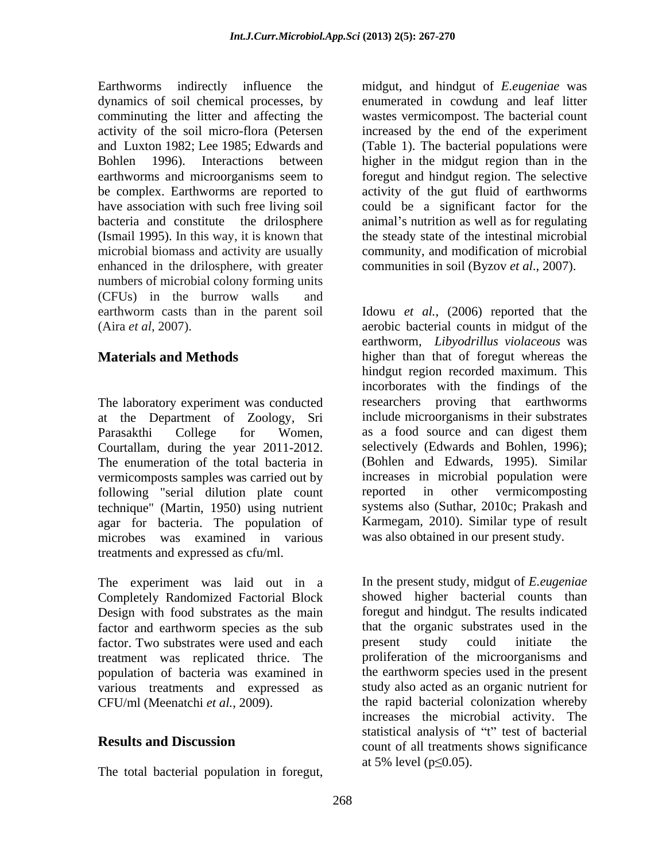Earthworms indirectly influence the midgut, and hindgut of *E.eugeniae* was dynamics of soil chemical processes, by enumerated in cowdung and leaf litter comminuting the litter and affecting the wastes vermicompost. The bacterial count activity of the soil micro-flora (Petersen increased by the end of the experiment and Luxton 1982; Lee 1985; Edwards and (Table 1). The bacterial populations were Bohlen 1996). Interactions between higher in the midgut region than in the earthworms and microorganisms seem to foregut and hindgut region. The selective be complex. Earthworms are reported to activity of the gut fluid of earthworms have association with such free living soil could be a significant factor for the bacteria and constitute the drilosphere animal's nutrition as well as for regulating (Ismail 1995). In this way, it is known that microbial biomass and activity are usually community, and modification of microbial enhanced in the drilosphere, with greater numbers of microbial colony forming units (CFUs) in the burrow walls and Tathytooms indirectly influence the midducing the course of the contribution is the contribution of *E.* between the contribution in the state of the contribution of the state of the state of the contribution of the state

The laboratory experiment was conducted at the Department of Zoology, Sri Parasakthi College for Women, as a food source and can digest them Courtallam, during the year 2011-2012. vermicomposts samples was carried out by increases in microbial population were<br>
following "serial dilution plate count reported in other vermicomposting following "serial dilution plate count technique" (Martin, 1950) using nutrient agar for bacteria. The population of microbes was examined in various treatments and expressed as cfu/ml.

The experiment was laid out in a Completely Randomized Factorial Block Design with food substrates as the main factor and earthworm species as the sub factor. Two substrates were used and each present study could initiate the treatment was replicated thrice. The population of bacteria was examined in various treatments and expressed as

foregut and hindgut region. The selective the steady state of the intestinal microbial communities in soil (Byzov *et al*., 2007).

earthworm casts than in the parent soil Idowu *et al.*, (2006) reported that the (Aira *et al*, 2007). aerobic bacterial counts in midgut of the **Materials and Methods** higher than that of foregut whereas the The enumeration of the total bacteria in (Bohlen and Edwards, 1995). Similar earthworm, *Libyodrillus violaceous* was hindgut region recorded maximum. This incorborates with the findings of the researchers proving that earthworms include microorganisms in their substrates as a food source and can digest them selectively (Edwards and Bohlen, 1996); increases in microbial population were reported in other vermicomposting systems also (Suthar, 2010c; Prakash and Karmegam, 2010). Similar type of result was also obtained in our present study.

CFU/ml (Meenatchi *et al.*, 2009). the rapid bacterial colonization whereby **Results and Discussion**<br>
count of all treatments shows significance In the present study, midgut of *E.eugeniae*  showed higher bacterial counts than foregut and hindgut. The results indicated that the organic substrates used in the present study could initiate the proliferation of the microorganisms and the earthworm species used in the present study also acted as an organic nutrient for increases the microbial activity. The statistical analysis of "t" test of bacterial at 5% level ( $p \le 0.05$ ).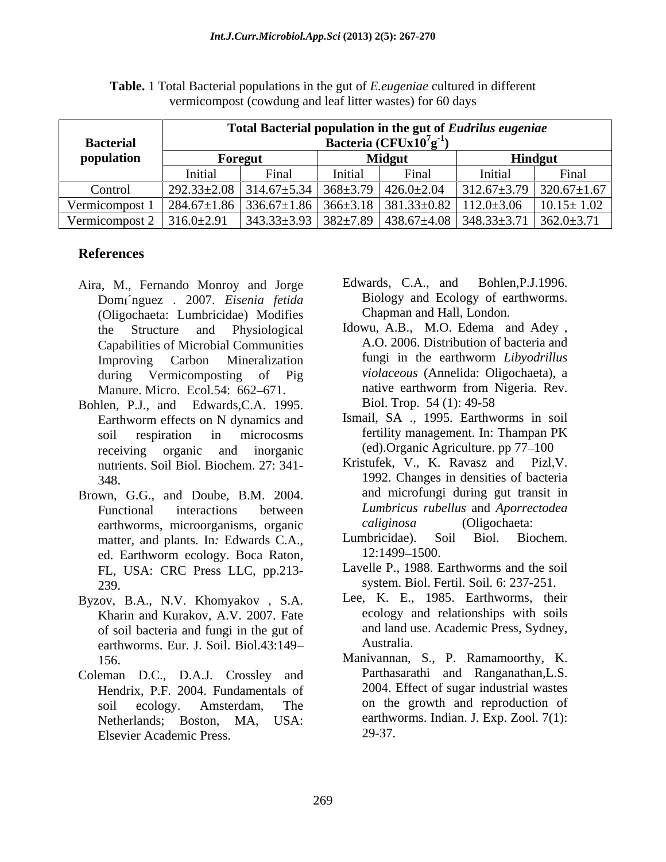| <b>Bacterial</b>      | Total Bacterial population in the gut of Eudrilus eugeniae<br>Bacteria ( $CFUx10'g^{-1}$ |       |               |                                                                             |                  |                                     |
|-----------------------|------------------------------------------------------------------------------------------|-------|---------------|-----------------------------------------------------------------------------|------------------|-------------------------------------|
| population            | Foregut                                                                                  |       | <b>Midgut</b> |                                                                             | <b>Hindgut</b>   |                                     |
|                       | ınıtıal                                                                                  | ʻinal | Initial       | Final                                                                       | Initial          | Final                               |
| Control               | $292.33 \pm 2.08$ 314.67 $\pm$ 5.34 368 $\pm$ 3.79 426.0 $\pm$ 2.04                      |       |               |                                                                             |                  | $312.67 \pm 3.79$ 320.67 $\pm 1.67$ |
| Vermicompost 1        | $\mid$ 284.67±1.86 $\mid$ 336.67±1.86 $\mid$ 366±3.18 $\mid$ 381.33±0.82 $\mid$          |       |               |                                                                             | $112.0 \pm 3.06$ | $10.15 \pm 1.02$                    |
| Vermicompost $\angle$ | $316.0 \pm 2.91$                                                                         |       |               | $343.33\pm3.93$ $382\pm7.89$ $438.67\pm4.08$ $348.33\pm3.71$ $362.0\pm3.71$ |                  |                                     |

**Table.** 1 Total Bacterial populations in the gut of *E.eugeniae* cultured in different vermicompost (cowdung and leaf litter wastes) for 60 days

# **References**

- Dom ´nguez . 2007. *Eisenia fetida* (Oligochaeta: Lumbricidae) Modifies
- Bohlen, P.J., and Edwards,C.A. 1995. receiving organic and inorganic (ed).Organic Agriculture. pp 77–100
- Brown, G.G., and Doube, B.M. 2004. earthworms, microorganisms, organic caliginosa (Oligochaeta:<br>matter and plants In Edwards C A Lumbricidae). Soil Biol. Biochem. matter, and plants. In: Edwards C.A., Lumbricidae). So<br>ed Farthworm ecology Boca Raton 12:1499–1500. ed. Earthworm ecology. Boca Raton,  $12:1499-1500$ . FL, USA: CRC Press LLC, pp.213-
- Byzov, B.A., N.V. Khomyakov , S.A. Kharin and Kurakov, A.V. 2007. Fate of soil bacteria and fungi in the gut of and land u<br>earthworms Fur L Soil Biol 43:140 earthworms. Eur. J. Soil. Biol.43:149
- Coleman D.C., D.A.J. Crossley and Hendrix, P.F. 2004. Fundamentals of Netherlands; Boston, MA, USA: Elsevier Academic Press.
- Aira, M., Fernando Monroy and Jorge Edwards, C.A., and Bohlen, P.J.1996. Edwards, C.A., and Bohlen,P.J.1996. Biology and Ecology of earthworms. Chapman and Hall, London.
	- the Structure and Physiological Idowu, A.B., M.O. Edema and Adey , Capabilities of Microbial Communities<br>
	Improving Carbon Mineralization fungi in the earthworm Libyodrillus Improving Carbon Mineralization tungi in the earthworm *Libyodrillus* during Vermicomposting of Pig *violaceous* (Annelida: Oligochaeta), a Manure. Micro. Ecol.54: 662–671. hative earthworm from l<br>
	en P.L. and Edwards C.A. 1995 Biol. Trop. 54 (1): 49-58 A.O. 2006. Distribution of bacteria and fungi in the earthworm *Libyodrillus*  native earthworm from Nigeria. Rev. Biol. Trop. 54 (1): 49-58
	- Earthworm effects on N dynamics and Ismail, SA ., 1995. Earthworms in soil soil respiration in microcosms fertility management. In: Thampan PK Ismail, SA ., 1995. Earthworms in soil fertility management. In: Thampan PK
	- nutrients. Soil Biol. Biochem. 27: 341-<br>Kristufek, V., K. Ravasz and Pizl, V. 348. 1992. Changes in densities of bacteria Functional interactions between *Lumbricus rubellus* and *Aporrectodea*  Kristufek, V., K. Ravasz and Pizl,V. 1992. Changes in densities of bacteria and microfungi during gut transit in *caliginosa* (Oligochaeta:
		- Lumbricidae). Soil Biol. Biochem. 12:1499–1500.
	- 239. system. Biol. Fertil. Soil*.* 6: 237-251. Lavelle P., 1988. Earthworms and the soil
		- Lee, K. E., 1985. Earthworms, their ecology and relationships with soils and land use. Academic Press, Sydney, Australia.
	- 156. Manivannan, S., P. Ramamoorthy, K. soil ecology. Amsterdam, The on the growth and reproduction of Parthasarathi and Ranganathan,L.S. 2004. Effect of sugar industrial wastes earthworms. Indian. J. Exp. Zool. 7(1): 29-37.